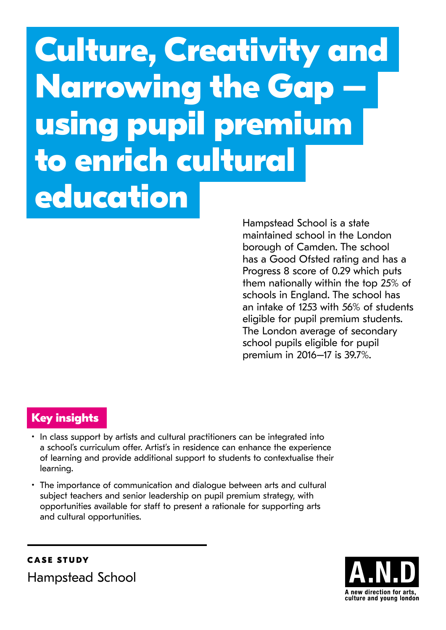# **Culture, Creativity and Narrowing the Gap – using pupil premium to enrich cultural education**

Hampstead School is a state maintained school in the London borough of Camden. The school has a Good Ofsted rating and has a Progress 8 score of 0.29 which puts them nationally within the top 25% of schools in England. The school has an intake of 1253 with 56% of students eligible for pupil premium students. The London average of secondary school pupils eligible for pupil premium in 2016–17 is 39.7%.

## **Key insights**

- In class support by artists and cultural practitioners can be integrated into a school's curriculum offer. Artist's in residence can enhance the experience of learning and provide additional support to students to contextualise their learning.
- The importance of communication and dialogue between arts and cultural subject teachers and senior leadership on pupil premium strategy, with opportunities available for staff to present a rationale for supporting arts and cultural opportunities.

**CASE STUDY** Hampstead School

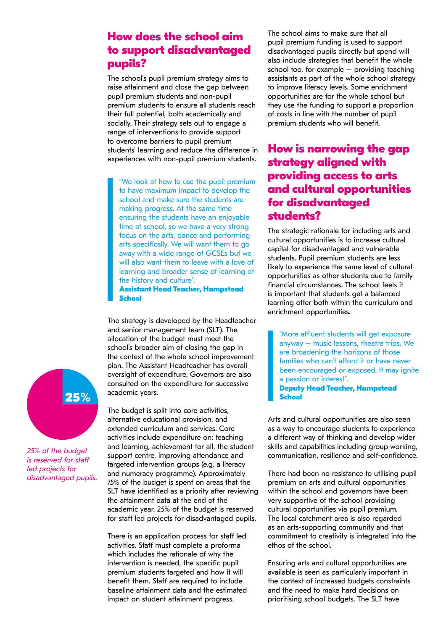#### **How does the school aim to support disadvantaged pupils?**

The school's pupil premium strategy aims to raise attainment and close the gap between pupil premium students and non-pupil premium students to ensure all students reach their full potential, both academically and socially. Their strategy sets out to engage a range of interventions to provide support to overcome barriers to pupil premium students' learning and reduce the difference in experiences with non-pupil premium students.

"We look at how to use the pupil premium to have maximum impact to develop the school and make sure the students are making progress. At the same time ensuring the students have an enjoyable time at school, so we have a very strong focus on the arts, dance and performing arts specifically. We will want them to go away with a wide range of GCSEs but we will also want them to leave with a love of learning and broader sense of learning of the history and culture".

**Assistant Head Teacher, Hampstead School**

The strategy is developed by the Headteacher and senior management team (SLT). The allocation of the budget must meet the school's broader aim of closing the gap in the context of the whole school improvement plan. The Assistant Headteacher has overall oversight of expenditure. Governors are also consulted on the expenditure for successive academic years.

The budget is split into core activities, alternative educational provision, and extended curriculum and services. Core activities include expenditure on: teaching and learning, achievement for all, the student support centre, improving attendance and targeted intervention groups (e.g. a literacy and numeracy programme). Approximately 75% of the budget is spent on areas that the SLT have identified as a priority after reviewing the attainment data at the end of the academic year. 25% of the budget is reserved for staff led projects for disadvantaged pupils.

There is an application process for staff led activities. Staff must complete a proforma which includes the rationale of why the intervention is needed, the specific pupil premium students targeted and how it will benefit them. Staff are required to include baseline attainment data and the estimated impact on student attainment progress.

The school aims to make sure that all pupil premium funding is used to support disadvantaged pupils directly but spend will also include strategies that benefit the whole school too, for example – providing teaching assistants as part of the whole school strategy to improve literacy levels. Some enrichment opportunities are for the whole school but they use the funding to support a proportion of costs in line with the number of pupil premium students who will benefit.

### **How is narrowing the gap strategy aligned with providing access to arts and cultural opportunities for disadvantaged students?**

The strategic rationale for including arts and cultural opportunities is to increase cultural capital for disadvantaged and vulnerable students. Pupil premium students are less likely to experience the same level of cultural opportunities as other students due to family financial circumstances. The school feels it is important that students get a balanced learning offer both within the curriculum and enrichment opportunities.

"More affluent students will get exposure anyway – music lessons, theatre trips. We are broadening the horizons of those families who can't afford it or have never been encouraged or exposed. It may ignite a passion or interest". **Deputy Head Teacher, Hampstead** 

**School**

Arts and cultural opportunities are also seen as a way to encourage students to experience a different way of thinking and develop wider skills and capabilities including group working, communication, resilience and self-confidence.

There had been no resistance to utilising pupil premium on arts and cultural opportunities within the school and governors have been very supportive of the school providing cultural opportunities via pupil premium. The local catchment area is also regarded as an arts-supporting community and that commitment to creativity is integrated into the ethos of the school.

Ensuring arts and cultural opportunities are available is seen as particularly important in the context of increased budgets constraints and the need to make hard decisions on prioritising school budgets. The SLT have



*25% of the budget is reserved for staff led projects for disadvantaged pupils.*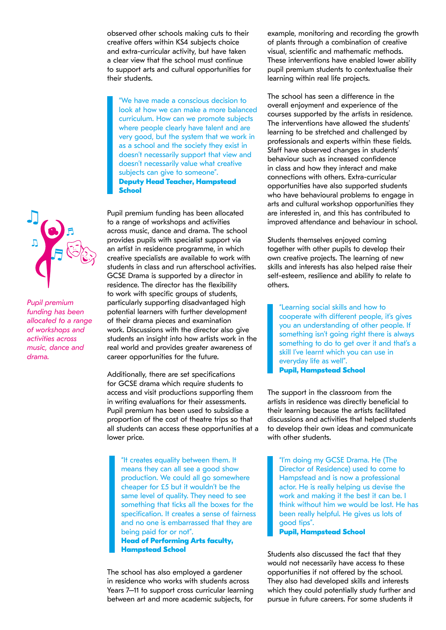observed other schools making cuts to their creative offers within KS4 subjects choice and extra-curricular activity, but have taken a clear view that the school must continue to support arts and cultural opportunities for their students.

"We have made a conscious decision to look at how we can make a more balanced curriculum. How can we promote subjects where people clearly have talent and are very good, but the system that we work in as a school and the society they exist in doesn't necessarily support that view and doesn't necessarily value what creative subjects can give to someone". **Deputy Head Teacher, Hampstead School**

Pupil premium funding has been allocated to a range of workshops and activities across music, dance and drama. The school provides pupils with specialist support via an artist in residence programme, in which creative specialists are available to work with students in class and run afterschool activities. GCSE Drama is supported by a director in residence. The director has the flexibility to work with specific groups of students, particularly supporting disadvantaged high potential learners with further development of their drama pieces and examination work. Discussions with the director also give students an insight into how artists work in the real world and provides greater awareness of career opportunities for the future.

Additionally, there are set specifications for GCSE drama which require students to access and visit productions supporting them in writing evaluations for their assessments. Pupil premium has been used to subsidise a proportion of the cost of theatre trips so that all students can access these opportunities at a lower price.

"It creates equality between them. It means they can all see a good show production. We could all go somewhere cheaper for £5 but it wouldn't be the same level of quality. They need to see something that ticks all the boxes for the specification. It creates a sense of fairness and no one is embarrassed that they are being paid for or not".

**Head of Performing Arts faculty, Hampstead School**

The school has also employed a gardener in residence who works with students across Years 7–11 to support cross curricular learning between art and more academic subjects, for example, monitoring and recording the growth of plants through a combination of creative visual, scientific and mathematic methods. These interventions have enabled lower ability pupil premium students to contextualise their learning within real life projects.

The school has seen a difference in the overall enjoyment and experience of the courses supported by the artists in residence. The interventions have allowed the students' learning to be stretched and challenged by professionals and experts within these fields. Staff have observed changes in students' behaviour such as increased confidence in class and how they interact and make connections with others. Extra-curricular opportunities have also supported students who have behavioural problems to engage in arts and cultural workshop opportunities they are interested in, and this has contributed to improved attendance and behaviour in school.

Students themselves enjoyed coming together with other pupils to develop their own creative projects. The learning of new skills and interests has also helped raise their self-esteem, resilience and ability to relate to others.

"Learning social skills and how to cooperate with different people, it's gives you an understanding of other people. If something isn't going right there is always something to do to get over it and that's a skill I've learnt which you can use in everyday life as well". **Pupil, Hampstead School**

The support in the classroom from the artists in residence was directly beneficial to their learning because the artists facilitated discussions and activities that helped students to develop their own ideas and communicate with other students.

"I'm doing my GCSE Drama. He (The Director of Residence) used to come to Hampstead and is now a professional actor. He is really helping us devise the work and making it the best it can be. I think without him we would be lost. He has been really helpful. He gives us lots of good tips".

**Pupil, Hampstead School**

Students also discussed the fact that they would not necessarily have access to these opportunities if not offered by the school. They also had developed skills and interests which they could potentially study further and pursue in future careers. For some students it



*Pupil premium funding has been allocated to a range of workshops and activities across music, dance and drama.*